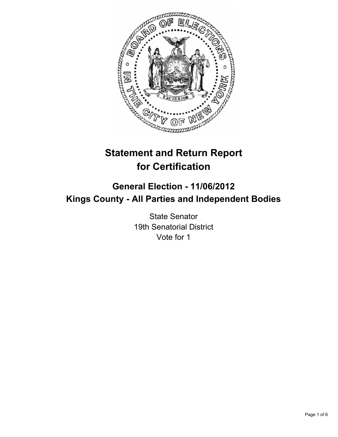

# **Statement and Return Report for Certification**

# **General Election - 11/06/2012 Kings County - All Parties and Independent Bodies**

State Senator 19th Senatorial District Vote for 1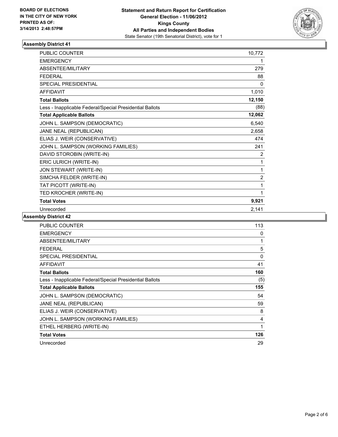

| PUBLIC COUNTER                                           | 10,772         |
|----------------------------------------------------------|----------------|
| <b>EMERGENCY</b>                                         | 1              |
| ABSENTEE/MILITARY                                        | 279            |
| <b>FEDERAL</b>                                           | 88             |
| <b>SPECIAL PRESIDENTIAL</b>                              | $\Omega$       |
| <b>AFFIDAVIT</b>                                         | 1,010          |
| <b>Total Ballots</b>                                     | 12,150         |
| Less - Inapplicable Federal/Special Presidential Ballots | (88)           |
| <b>Total Applicable Ballots</b>                          | 12,062         |
| JOHN L. SAMPSON (DEMOCRATIC)                             | 6,540          |
| JANE NEAL (REPUBLICAN)                                   | 2,658          |
| ELIAS J. WEIR (CONSERVATIVE)                             | 474            |
| JOHN L. SAMPSON (WORKING FAMILIES)                       | 241            |
| DAVID STOROBIN (WRITE-IN)                                | $\overline{2}$ |
| ERIC ULRICH (WRITE-IN)                                   | 1              |
| JON STEWART (WRITE-IN)                                   | 1              |
| SIMCHA FELDER (WRITE-IN)                                 | $\overline{2}$ |
| TAT PICOTT (WRITE-IN)                                    | 1              |
| TED KROCHER (WRITE-IN)                                   | 1              |
| <b>Total Votes</b>                                       | 9,921          |
| Unrecorded                                               | 2,141          |

| <b>PUBLIC COUNTER</b>                                    | 113 |
|----------------------------------------------------------|-----|
| <b>EMERGENCY</b>                                         | 0   |
| <b>ABSENTEE/MILITARY</b>                                 | 1   |
| <b>FEDERAL</b>                                           | 5   |
| <b>SPECIAL PRESIDENTIAL</b>                              | 0   |
| AFFIDAVIT                                                | 41  |
| <b>Total Ballots</b>                                     | 160 |
| Less - Inapplicable Federal/Special Presidential Ballots | (5) |
| <b>Total Applicable Ballots</b>                          | 155 |
| JOHN L. SAMPSON (DEMOCRATIC)                             | 54  |
| JANE NEAL (REPUBLICAN)                                   | 59  |
| ELIAS J. WEIR (CONSERVATIVE)                             | 8   |
| JOHN L. SAMPSON (WORKING FAMILIES)                       | 4   |
| ETHEL HERBERG (WRITE-IN)                                 | 1   |
| <b>Total Votes</b>                                       | 126 |
| Unrecorded                                               | 29  |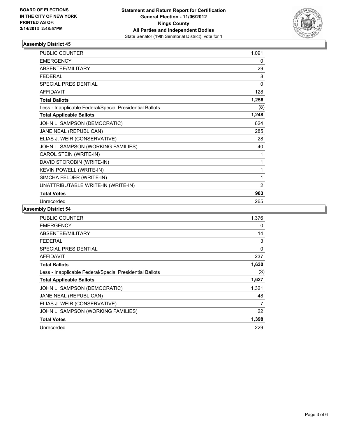

| <b>PUBLIC COUNTER</b>                                    | 1,091          |
|----------------------------------------------------------|----------------|
| <b>EMERGENCY</b>                                         | 0              |
| <b>ABSENTEE/MILITARY</b>                                 | 29             |
| <b>FEDERAL</b>                                           | 8              |
| <b>SPECIAL PRESIDENTIAL</b>                              | 0              |
| <b>AFFIDAVIT</b>                                         | 128            |
| <b>Total Ballots</b>                                     | 1,256          |
| Less - Inapplicable Federal/Special Presidential Ballots | (8)            |
| <b>Total Applicable Ballots</b>                          | 1,248          |
| JOHN L. SAMPSON (DEMOCRATIC)                             | 624            |
| JANE NEAL (REPUBLICAN)                                   | 285            |
| ELIAS J. WEIR (CONSERVATIVE)                             | 28             |
| JOHN L. SAMPSON (WORKING FAMILIES)                       | 40             |
| CAROL STEIN (WRITE-IN)                                   | 1              |
| DAVID STOROBIN (WRITE-IN)                                | 1              |
| KEVIN POWELL (WRITE-IN)                                  | 1              |
| SIMCHA FELDER (WRITE-IN)                                 | 1              |
| UNATTRIBUTABLE WRITE-IN (WRITE-IN)                       | $\overline{2}$ |
| <b>Total Votes</b>                                       | 983            |
| Unrecorded                                               | 265            |

| <b>PUBLIC COUNTER</b>                                    | 1,376    |
|----------------------------------------------------------|----------|
| <b>EMERGENCY</b>                                         | 0        |
| ABSENTEE/MILITARY                                        | 14       |
| FEDERAL                                                  | 3        |
| <b>SPECIAL PRESIDENTIAL</b>                              | $\Omega$ |
| <b>AFFIDAVIT</b>                                         | 237      |
| <b>Total Ballots</b>                                     | 1,630    |
| Less - Inapplicable Federal/Special Presidential Ballots | (3)      |
| <b>Total Applicable Ballots</b>                          | 1,627    |
| JOHN L. SAMPSON (DEMOCRATIC)                             | 1,321    |
| JANE NEAL (REPUBLICAN)                                   | 48       |
| ELIAS J. WEIR (CONSERVATIVE)                             | 7        |
| JOHN L. SAMPSON (WORKING FAMILIES)                       | 22       |
| <b>Total Votes</b>                                       | 1,398    |
| Unrecorded                                               | 229      |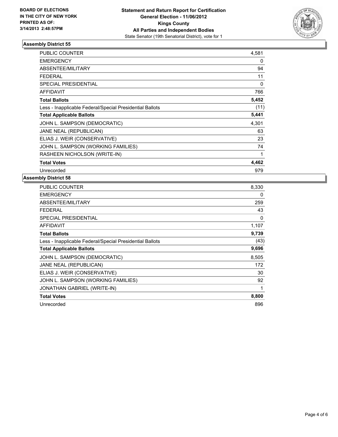

| <b>PUBLIC COUNTER</b>                                    | 4,581 |
|----------------------------------------------------------|-------|
| <b>EMERGENCY</b>                                         | 0     |
| <b>ABSENTEE/MILITARY</b>                                 | 94    |
| FEDERAL                                                  | 11    |
| <b>SPECIAL PRESIDENTIAL</b>                              | 0     |
| AFFIDAVIT                                                | 766   |
| <b>Total Ballots</b>                                     | 5,452 |
| Less - Inapplicable Federal/Special Presidential Ballots | (11)  |
| <b>Total Applicable Ballots</b>                          | 5,441 |
| JOHN L. SAMPSON (DEMOCRATIC)                             | 4,301 |
| JANE NEAL (REPUBLICAN)                                   | 63    |
| ELIAS J. WEIR (CONSERVATIVE)                             | 23    |
| JOHN L. SAMPSON (WORKING FAMILIES)                       | 74    |
| RASHEEN NICHOLSON (WRITE-IN)                             | 1     |
| <b>Total Votes</b>                                       | 4,462 |
| Unrecorded                                               | 979   |

| <b>PUBLIC COUNTER</b>                                    | 8,330 |
|----------------------------------------------------------|-------|
| <b>EMERGENCY</b>                                         | 0     |
| ABSENTEE/MILITARY                                        | 259   |
| FEDERAL                                                  | 43    |
| SPECIAL PRESIDENTIAL                                     | 0     |
| AFFIDAVIT                                                | 1,107 |
| <b>Total Ballots</b>                                     | 9,739 |
| Less - Inapplicable Federal/Special Presidential Ballots | (43)  |
| <b>Total Applicable Ballots</b>                          | 9,696 |
| JOHN L. SAMPSON (DEMOCRATIC)                             | 8,505 |
| JANE NEAL (REPUBLICAN)                                   | 172   |
| ELIAS J. WEIR (CONSERVATIVE)                             | 30    |
| JOHN L. SAMPSON (WORKING FAMILIES)                       | 92    |
| <b>JONATHAN GABRIEL (WRITE-IN)</b>                       | 1     |
| <b>Total Votes</b>                                       | 8,800 |
| Unrecorded                                               |       |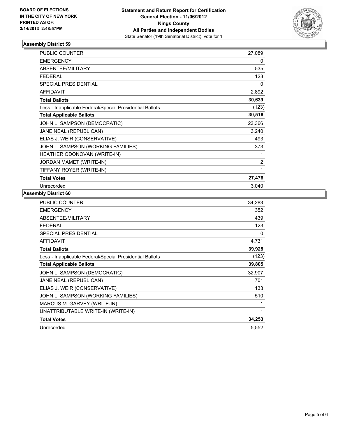

| <b>PUBLIC COUNTER</b>                                    | 27,089         |
|----------------------------------------------------------|----------------|
| <b>EMERGENCY</b>                                         | 0              |
| ABSENTEE/MILITARY                                        | 535            |
| <b>FEDERAL</b>                                           | 123            |
| <b>SPECIAL PRESIDENTIAL</b>                              | 0              |
| <b>AFFIDAVIT</b>                                         | 2,892          |
| <b>Total Ballots</b>                                     | 30,639         |
| Less - Inapplicable Federal/Special Presidential Ballots | (123)          |
| <b>Total Applicable Ballots</b>                          | 30,516         |
| JOHN L. SAMPSON (DEMOCRATIC)                             | 23,366         |
| JANE NEAL (REPUBLICAN)                                   | 3,240          |
| ELIAS J. WEIR (CONSERVATIVE)                             | 493            |
| JOHN L. SAMPSON (WORKING FAMILIES)                       | 373            |
| HEATHER ODONOVAN (WRITE-IN)                              |                |
| JORDAN MAMET (WRITE-IN)                                  | $\overline{2}$ |
| TIFFANY ROYER (WRITE-IN)                                 | 1              |
| <b>Total Votes</b>                                       | 27,476         |
| Unrecorded                                               | 3,040          |

| <b>PUBLIC COUNTER</b>                                    | 34,283 |
|----------------------------------------------------------|--------|
| <b>EMERGENCY</b>                                         | 352    |
| ABSENTEE/MILITARY                                        | 439    |
| <b>FEDERAL</b>                                           | 123    |
| <b>SPECIAL PRESIDENTIAL</b>                              | 0      |
| AFFIDAVIT                                                | 4,731  |
| <b>Total Ballots</b>                                     | 39,928 |
| Less - Inapplicable Federal/Special Presidential Ballots | (123)  |
| <b>Total Applicable Ballots</b>                          | 39,805 |
| JOHN L. SAMPSON (DEMOCRATIC)                             | 32,907 |
| JANE NEAL (REPUBLICAN)                                   | 701    |
| ELIAS J. WEIR (CONSERVATIVE)                             | 133    |
| JOHN L. SAMPSON (WORKING FAMILIES)                       | 510    |
| MARCUS M. GARVEY (WRITE-IN)                              | 1      |
| UNATTRIBUTABLE WRITE-IN (WRITE-IN)                       | 1      |
| <b>Total Votes</b>                                       | 34,253 |
| Unrecorded                                               | 5,552  |